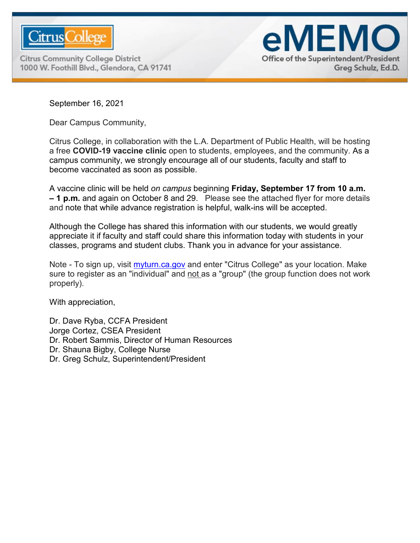

**Citrus Community College District** 1000 W. Foothill Blvd., Glendora, CA 91741



September 16, 2021

Dear Campus Community,

Citrus College, in collaboration with the L.A. Department of Public Health, will be hosting a free **COVID-19 vaccine clinic** open to students, employees, and the community. As a campus community, we strongly encourage all of our students, faculty and staff to become vaccinated as soon as possible.

A vaccine clinic will be held *on campus* beginning **Friday, September 17 from 10 a.m. – 1 p.m.** and again on October 8 and 29. Please see the attached flyer for more details and note that while advance registration is helpful, walk-ins will be accepted.

Although the College has shared this information with our students, we would greatly appreciate it if faculty and staff could share this information today with students in your classes, programs and student clubs. Thank you in advance for your assistance.

Note - To sign up, visit [myturn.ca.gov](http://myturn.ca.gov/) and enter "Citrus College" as your location. Make sure to register as an "individual" and not as a "group" (the group function does not work properly).

With appreciation,

Dr. Dave Ryba, CCFA President Jorge Cortez, CSEA President Dr. Robert Sammis, Director of Human Resources Dr. Shauna Bigby, College Nurse Dr. Greg Schulz, Superintendent/President